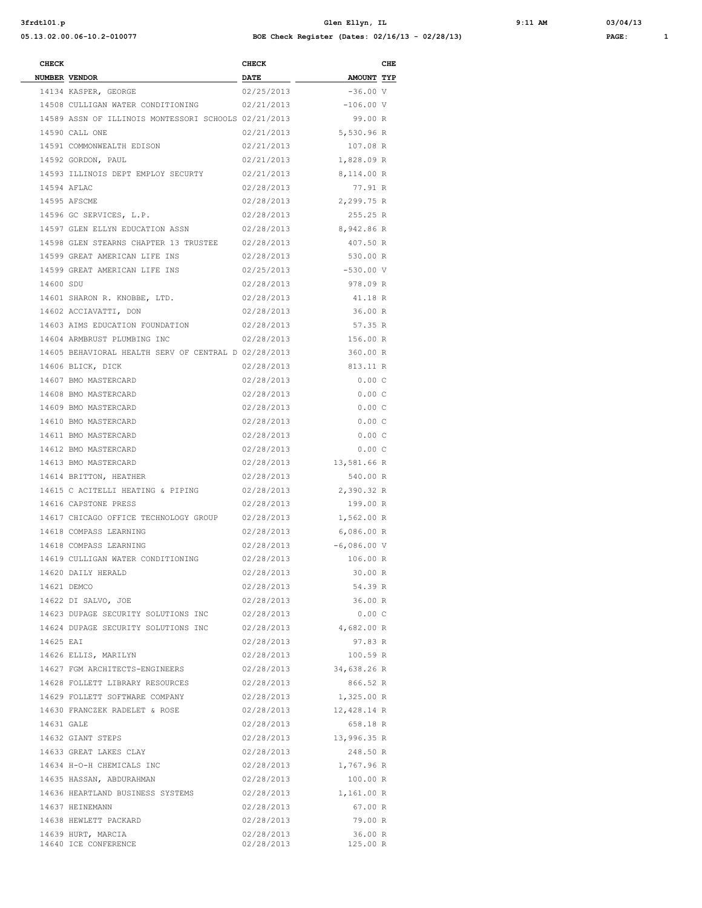**3frdtl01.p Glen Ellyn, IL 9:11 AM 03/04/13 05.13.02.00.06-10.2-010077 BOE Check Register (Dates: 02/16/13 - 02/28/13) PAGE: 1**

| <b>CHECK</b> |                                                           | <b>CHECK</b>             |                                 | CHE |
|--------------|-----------------------------------------------------------|--------------------------|---------------------------------|-----|
|              | NUMBER VENDOR                                             | <b>DATE</b>              | <b>AMOUNT TYP</b><br>$-36.00 V$ |     |
|              | 14134 KASPER, GEORGE<br>14508 CULLIGAN WATER CONDITIONING | 02/25/2013               | $-106.00 V$                     |     |
|              | 14589 ASSN OF ILLINOIS MONTESSORI SCHOOLS 02/21/2013      | 02/21/2013               | 99.00 R                         |     |
|              | 14590 CALL ONE                                            | 02/21/2013               | 5,530.96 R                      |     |
|              | 14591 COMMONWEALTH EDISON                                 | 02/21/2013               | 107.08 R                        |     |
|              | 14592 GORDON, PAUL                                        | 02/21/2013               | 1,828.09 R                      |     |
|              | 14593 ILLINOIS DEPT EMPLOY SECURTY                        | 02/21/2013               | 8,114.00 R                      |     |
|              | 14594 AFLAC                                               | 02/28/2013               | 77.91 R                         |     |
|              | 14595 AFSCME                                              | 02/28/2013               | 2,299.75 R                      |     |
|              | 14596 GC SERVICES, L.P.                                   | 02/28/2013               | 255.25 R                        |     |
|              | 14597 GLEN ELLYN EDUCATION ASSN                           | 02/28/2013               | 8,942.86 R                      |     |
|              | 14598 GLEN STEARNS CHAPTER 13 TRUSTEE                     | 02/28/2013               | 407.50 R                        |     |
|              | 14599 GREAT AMERICAN LIFE INS                             | 02/28/2013               | 530.00 R                        |     |
|              | 14599 GREAT AMERICAN LIFE INS                             | 02/25/2013               | $-530.00 V$                     |     |
| 14600 SDU    |                                                           | 02/28/2013               | 978.09 R                        |     |
|              | 14601 SHARON R. KNOBBE, LTD.                              | 02/28/2013               | 41.18 R                         |     |
|              | 14602 ACCIAVATTI, DON                                     | 02/28/2013               | 36.00 R                         |     |
|              | 14603 AIMS EDUCATION FOUNDATION                           | 02/28/2013               | 57.35 R                         |     |
|              | 14604 ARMBRUST PLUMBING INC                               | 02/28/2013               | 156.00 R                        |     |
|              | 14605 BEHAVIORAL HEALTH SERV OF CENTRAL D 02/28/2013      |                          | 360.00 R                        |     |
|              | 14606 BLICK, DICK                                         | 02/28/2013               | 813.11 R                        |     |
|              | 14607 BMO MASTERCARD                                      | 02/28/2013               | 0.00C                           |     |
|              | 14608 BMO MASTERCARD                                      | 02/28/2013               | 0.00C                           |     |
|              | 14609 BMO MASTERCARD                                      | 02/28/2013               | 0.00C                           |     |
|              | 14610 BMO MASTERCARD                                      | 02/28/2013               | 0.00C                           |     |
|              | 14611 BMO MASTERCARD                                      | 02/28/2013               | 0.00C                           |     |
|              | 14612 BMO MASTERCARD                                      | 02/28/2013               | 0.00C                           |     |
|              | 14613 BMO MASTERCARD                                      | 02/28/2013               | 13,581.66 R                     |     |
|              | 14614 BRITTON, HEATHER                                    | 02/28/2013               | 540.00 R                        |     |
|              | 14615 C ACITELLI HEATING & PIPING                         | 02/28/2013               | 2,390.32 R                      |     |
|              | 14616 CAPSTONE PRESS                                      | 02/28/2013               | 199.00 R                        |     |
|              | 14617 CHICAGO OFFICE TECHNOLOGY GROUP                     | 02/28/2013               | 1,562.00 R                      |     |
|              | 14618 COMPASS LEARNING                                    | 02/28/2013               | 6,086.00 R                      |     |
|              | 14618 COMPASS LEARNING                                    | 02/28/2013               | $-6,086.00$ V                   |     |
|              | 14619 CULLIGAN WATER CONDITIONING                         | 02/28/2013               | 106.00 R                        |     |
|              | 14620 DAILY HERALD                                        | 02/28/2013               | 30.00 R                         |     |
|              | 14621 DEMCO                                               | 02/28/2013               | 54.39 R                         |     |
|              | 14622 DI SALVO, JOE                                       | 02/28/2013               | 36.00 R                         |     |
|              | 14623 DUPAGE SECURITY SOLUTIONS INC                       | 02/28/2013               | 0.00C                           |     |
|              | 14624 DUPAGE SECURITY SOLUTIONS INC                       | 02/28/2013               | 4,682.00 R                      |     |
| 14625 EAI    |                                                           | 02/28/2013               | 97.83 R                         |     |
|              | 14626 ELLIS, MARILYN                                      | 02/28/2013               | 100.59 R                        |     |
|              | 14627 FGM ARCHITECTS-ENGINEERS                            | 02/28/2013               | 34,638.26 R                     |     |
|              | 14628 FOLLETT LIBRARY RESOURCES                           | 02/28/2013               | 866.52 R                        |     |
|              | 14629 FOLLETT SOFTWARE COMPANY                            | 02/28/2013               | 1,325.00 R                      |     |
|              | 14630 FRANCZEK RADELET & ROSE                             | 02/28/2013               | 12,428.14 R                     |     |
| 14631 GALE   |                                                           | 02/28/2013               | 658.18 R                        |     |
|              | 14632 GIANT STEPS                                         | 02/28/2013               | 13,996.35 R                     |     |
|              | 14633 GREAT LAKES CLAY                                    | 02/28/2013               | 248.50 R                        |     |
|              | 14634 H-O-H CHEMICALS INC                                 | 02/28/2013               | 1,767.96 R                      |     |
|              | 14635 HASSAN, ABDURAHMAN                                  | 02/28/2013               | 100.00 R                        |     |
|              | 14636 HEARTLAND BUSINESS SYSTEMS                          | 02/28/2013               | 1,161.00 R                      |     |
|              | 14637 HEINEMANN                                           | 02/28/2013               | 67.00 R                         |     |
|              | 14638 HEWLETT PACKARD                                     | 02/28/2013               | 79.00 R                         |     |
|              | 14639 HURT, MARCIA<br>14640 ICE CONFERENCE                | 02/28/2013<br>02/28/2013 | 36.00 R<br>125.00 R             |     |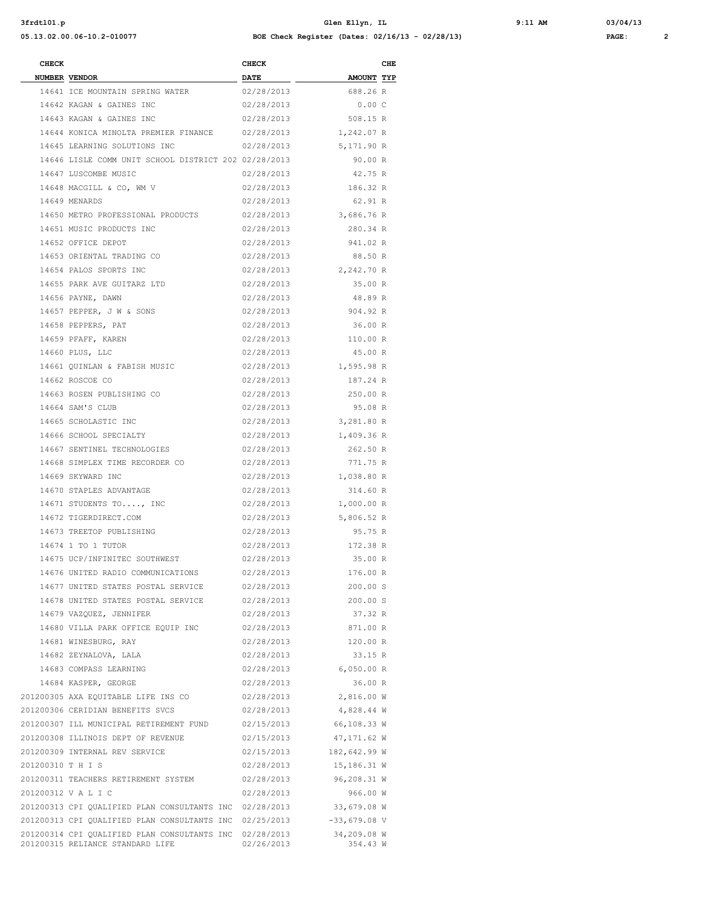**3frdtl01.p Glen Ellyn, IL 9:11 AM 03/04/13 05.13.02.00.06-10.2-010077 BOE Check Register (Dates: 02/16/13 - 02/28/13) PAGE: 2**

| <b>CHECK</b>      |                                                                                             | <b>CHECK</b>             |                         | CHE |
|-------------------|---------------------------------------------------------------------------------------------|--------------------------|-------------------------|-----|
|                   | NUMBER VENDOR                                                                               | <b>DATE</b>              | <b>AMOUNT TYP</b>       |     |
|                   | 14641 ICE MOUNTAIN SPRING WATER                                                             | 02/28/2013               | 688.26 R                |     |
|                   | 14642 KAGAN & GAINES INC                                                                    | 02/28/2013               | 0.00C                   |     |
|                   | 14643 KAGAN & GAINES INC                                                                    | 02/28/2013               | 508.15 R                |     |
|                   | 14644 KONICA MINOLTA PREMIER FINANCE 02/28/2013                                             |                          | 1,242.07 R              |     |
|                   | 14645 LEARNING SOLUTIONS INC                                                                | 02/28/2013               | 5,171.90 R              |     |
|                   | 14646 LISLE COMM UNIT SCHOOL DISTRICT 202 02/28/2013                                        |                          | 90.00 R                 |     |
|                   | 14647 LUSCOMBE MUSIC                                                                        | 02/28/2013               | 42.75 R                 |     |
|                   | 14648 MACGILL & CO, WM V                                                                    | 02/28/2013               | 186.32 R                |     |
|                   | 14649 MENARDS                                                                               | 02/28/2013               | 62.91 R                 |     |
|                   | 14650 METRO PROFESSIONAL PRODUCTS                                                           | 02/28/2013               | 3,686.76 R              |     |
|                   | 14651 MUSIC PRODUCTS INC                                                                    | 02/28/2013               | 280.34 R                |     |
|                   | 14652 OFFICE DEPOT                                                                          | 02/28/2013               | 941.02 R                |     |
|                   | 14653 ORIENTAL TRADING CO                                                                   | 02/28/2013               | 88.50 R                 |     |
|                   | 14654 PALOS SPORTS INC                                                                      | 02/28/2013               | 2,242.70 R              |     |
|                   | 14655 PARK AVE GUITARZ LTD                                                                  | 02/28/2013               | 35.00 R                 |     |
|                   | 14656 PAYNE, DAWN                                                                           | 02/28/2013               | 48.89 R                 |     |
|                   | 14657 PEPPER, J W & SONS                                                                    | 02/28/2013               | 904.92 R                |     |
|                   | 14658 PEPPERS, PAT                                                                          | 02/28/2013               | 36.00 R                 |     |
|                   | 14659 PFAFF, KAREN                                                                          | 02/28/2013               | 110.00 R                |     |
|                   | 14660 PLUS, LLC<br>14661 OUINLAN & FABISH MUSIC                                             | 02/28/2013               | 45.00 R                 |     |
|                   | 14662 ROSCOE CO                                                                             | 02/28/2013<br>02/28/2013 | 1,595.98 R<br>187.24 R  |     |
|                   | 14663 ROSEN PUBLISHING CO                                                                   | 02/28/2013               | 250.00 R                |     |
|                   | 14664 SAM'S CLUB                                                                            | 02/28/2013               | 95.08 R                 |     |
|                   | 14665 SCHOLASTIC INC                                                                        | 02/28/2013               | 3,281.80 R              |     |
|                   | 14666 SCHOOL SPECIALTY                                                                      | 02/28/2013               | 1,409.36 R              |     |
|                   | 14667 SENTINEL TECHNOLOGIES                                                                 | 02/28/2013               | 262.50 R                |     |
|                   | 14668 SIMPLEX TIME RECORDER CO                                                              | 02/28/2013               | 771.75 R                |     |
|                   | 14669 SKYWARD INC                                                                           | 02/28/2013               | 1,038.80 R              |     |
|                   | 14670 STAPLES ADVANTAGE                                                                     | 02/28/2013               | 314.60 R                |     |
|                   | 14671 STUDENTS TO, INC                                                                      | 02/28/2013               | 1,000.00 R              |     |
|                   | 14672 TIGERDIRECT.COM                                                                       | 02/28/2013               | 5,806.52 R              |     |
|                   | 14673 TREETOP PUBLISHING                                                                    | 02/28/2013               | 95.75 R                 |     |
|                   | 14674 1 TO 1 TUTOR                                                                          | 02/28/2013               | 172.38 R                |     |
|                   | 14675 UCP/INFINITEC SOUTHWEST                                                               | 02/28/2013               | 35.00 R                 |     |
|                   | 14676 UNITED RADIO COMMUNICATIONS                                                           | 02/28/2013               | 176.00 R                |     |
|                   | 14677 UNITED STATES POSTAL SERVICE 02/28/2013                                               |                          | 200.00 S                |     |
|                   | 14678 UNITED STATES POSTAL SERVICE 02/28/2013                                               |                          | 200.00 S                |     |
|                   | 14679 VAZQUEZ, JENNIFER                                                                     | 02/28/2013               | 37.32 R                 |     |
|                   | 14680 VILLA PARK OFFICE EQUIP INC                                                           | 02/28/2013               | 871.00 R                |     |
|                   | 14681 WINESBURG, RAY                                                                        | 02/28/2013               | 120.00 R                |     |
|                   | 14682 ZEYNALOVA, LALA                                                                       | 02/28/2013               | 33.15 R                 |     |
|                   | 14683 COMPASS LEARNING                                                                      | 02/28/2013               | 6,050.00 R              |     |
|                   | 14684 KASPER, GEORGE                                                                        | 02/28/2013               | 36.00 R                 |     |
|                   | 201200305 AXA EQUITABLE LIFE INS CO                                                         | 02/28/2013               | 2,816.00 W              |     |
|                   | 201200306 CERIDIAN BENEFITS SVCS                                                            | 02/28/2013               | 4,828.44 W              |     |
|                   | 201200307 ILL MUNICIPAL RETIREMENT FUND 02/15/2013                                          |                          | 66,108.33 W             |     |
|                   | 201200308 ILLINOIS DEPT OF REVENUE                                                          | 02/15/2013               | 47,171.62 W             |     |
|                   | 201200309 INTERNAL REV SERVICE                                                              | 02/15/2013               | 182,642.99 W            |     |
| 201200310 T H I S |                                                                                             | 02/28/2013               | 15,186.31 W             |     |
|                   | 201200311 TEACHERS RETIREMENT SYSTEM                                                        | 02/28/2013               | 96,208.31 W             |     |
|                   | 201200312 V A L I C                                                                         | 02/28/2013               | 966.00 W                |     |
|                   | 201200313 CPI QUALIFIED PLAN CONSULTANTS INC 02/28/2013                                     |                          | 33,679.08 W             |     |
|                   | 201200313 CPI QUALIFIED PLAN CONSULTANTS INC 02/25/2013                                     |                          | -33,679.08 V            |     |
|                   | 201200314 CPI QUALIFIED PLAN CONSULTANTS INC 02/28/2013<br>201200315 RELIANCE STANDARD LIFE | 02/26/2013               | 34,209.08 W<br>354.43 W |     |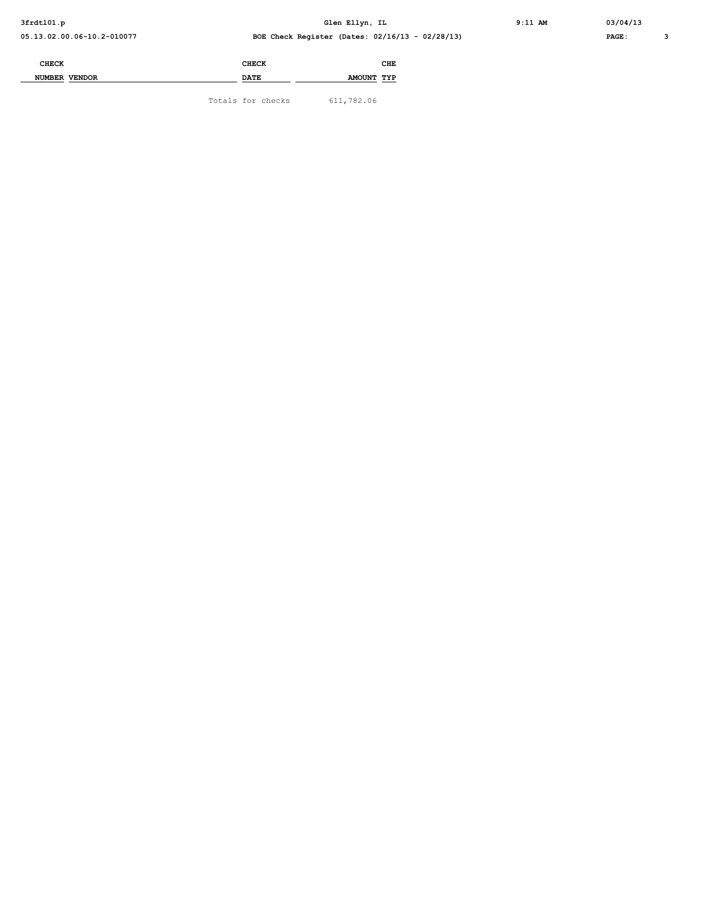| <b>CHECK</b>            | <b>CHECK</b> | CHE        |  |
|-------------------------|--------------|------------|--|
| <b>VENDOR</b><br>NUMBER | <b>DATE</b>  | AMOUNT TYP |  |

Totals for checks 611,782.06